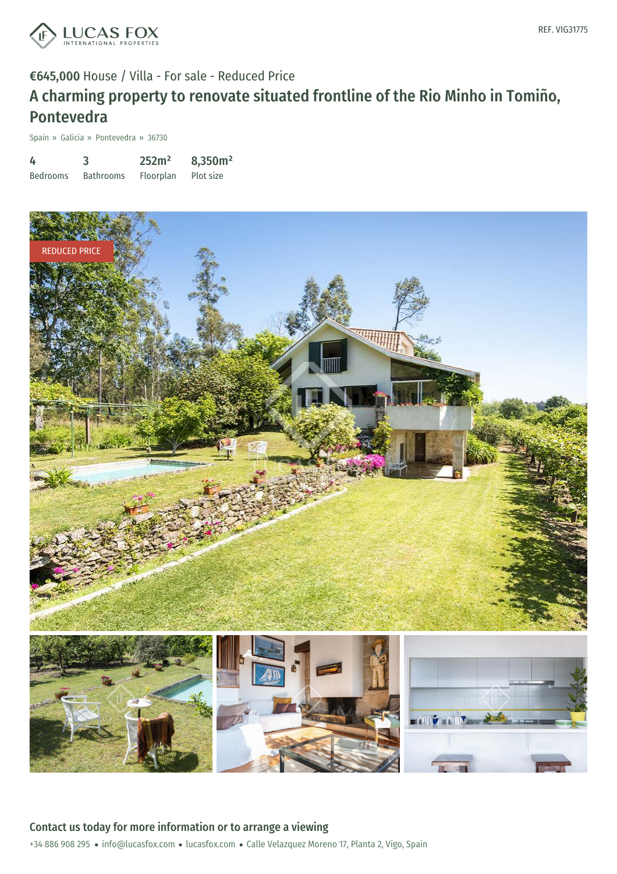

#### €645,000 House / Villa - For sale - Reduced Price

## A charming property to renovate situated frontline of the Rio Minho in Tomiño, Pontevedra

Spain » Galicia » Pontevedra » 36730

| 4               | 3                | 252m <sup>2</sup> | 8,350m <sup>2</sup> |
|-----------------|------------------|-------------------|---------------------|
| <b>Bedrooms</b> | <b>Bathrooms</b> | Floorplan         | Plot size           |



+34 886 908 295 · info@lucasfox.com · lucasfox.com · Calle Velazquez Moreno 17, Planta 2, Vigo, Spain Contact us today for more information or to arrange a viewing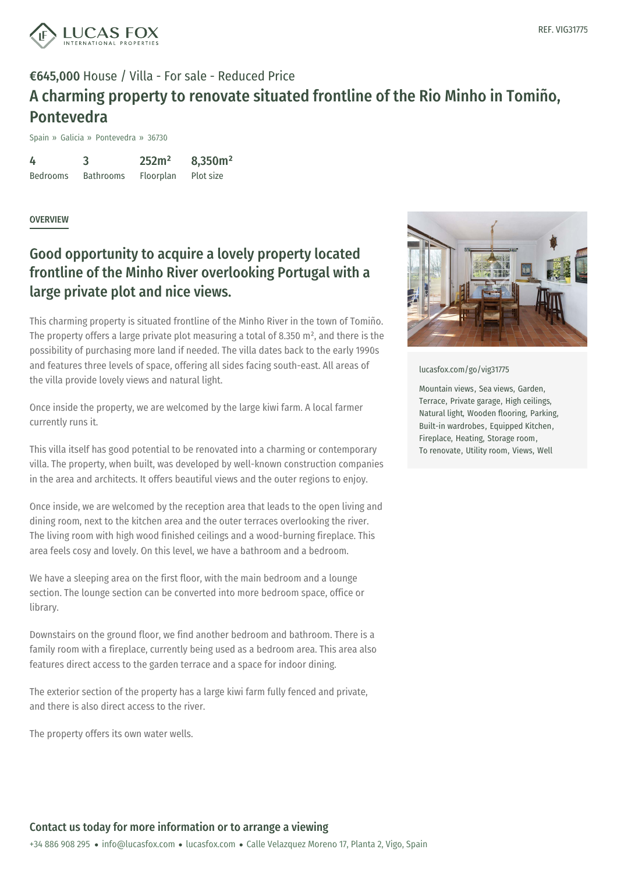

### €645,000 House / Villa - For sale - Reduced Price A charming property to renovate situated frontline of the Rio Minho in Tomiño, Pontevedra

Spain » Galicia » Pontevedra » 36730

4 Bedrooms 3 Bathrooms 252m² Floorplan 8,350m² Plot size

**OVERVIEW** 

#### Good opportunity to acquire a lovely property located frontline of the Minho River overlooking Portugal with a large private plot and nice views.

This charming property is situated frontline of the Minho River in the town of Tomiño. The property offers a large private plot measuring a total of 8.350 m², and there is the possibility of purchasing more land if needed. The villa dates back to the early 1990s and features three levels of space, offering all sides facing south-east. All areas of the villa provide lovely views and natural light.

Once inside the property, we are welcomed by the large kiwi farm. A local farmer currently runs it.

This villa itself has good potential to be renovated into a charming or contemporary villa. The property, when built, was developed by well-known construction companies in the area and architects. It offers beautiful views and the outer regions to enjoy.

Once inside, we are welcomed by the reception area that leads to the open living and dining room, next to the kitchen area and the outer terraces overlooking the river. The living room with high wood finished ceilings and a wood-burning fireplace. This area feels cosy and lovely. On this level, we have a bathroom and a bedroom.

We have a sleeping area on the first floor, with the main bedroom and a lounge section. The lounge section can be converted into more bedroom space, office or library.

Downstairs on the [ground](mailto:info@lucasfox.com) floor, we find [another](https://www.lucasfox.com) bedroom and bathroom. There is a family room with a fireplace, currently being used as a bedroom area. This area also features direct access to the garden terrace and a space for indoor dining.

The exterior section of the property has a large kiwi farm fully fenced and private, and there is also direct access to the river.

The property offers its own water wells.



[lucasfox.com/go/vig31775](https://www.lucasfox.com/go/vig31775)

Mountain views, Sea views, Garden, Terrace, Private garage, High ceilings, Natural light, Wooden flooring, Parking, Built-in wardrobes, Equipped Kitchen, Fireplace, Heating, Storage room, To renovate, Utility room, Views, Well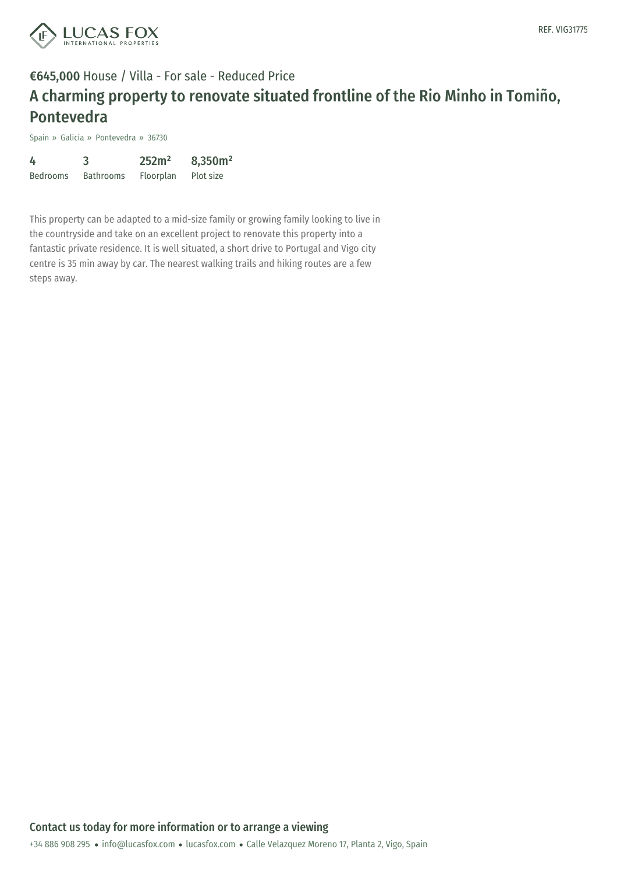

## €645,000 House / Villa - For sale - Reduced Price A charming property to renovate situated frontline of the Rio Minho in Tomiño, Pontevedra

Spain » Galicia » Pontevedra » 36730

| 4               | 3                | 252m <sup>2</sup> | 8,350m <sup>2</sup> |
|-----------------|------------------|-------------------|---------------------|
| <b>Bedrooms</b> | <b>Bathrooms</b> | Floorplan         | Plot size           |

This property can be adapted to a mid-size family or growing family looking to live in the countryside and take on an excellent project to renovate this property into a fantastic private residence. It is well situated, a short drive to Portugal and Vigo city centre is 35 min away by car. The nearest walking trails and hiking routes are a few steps away.